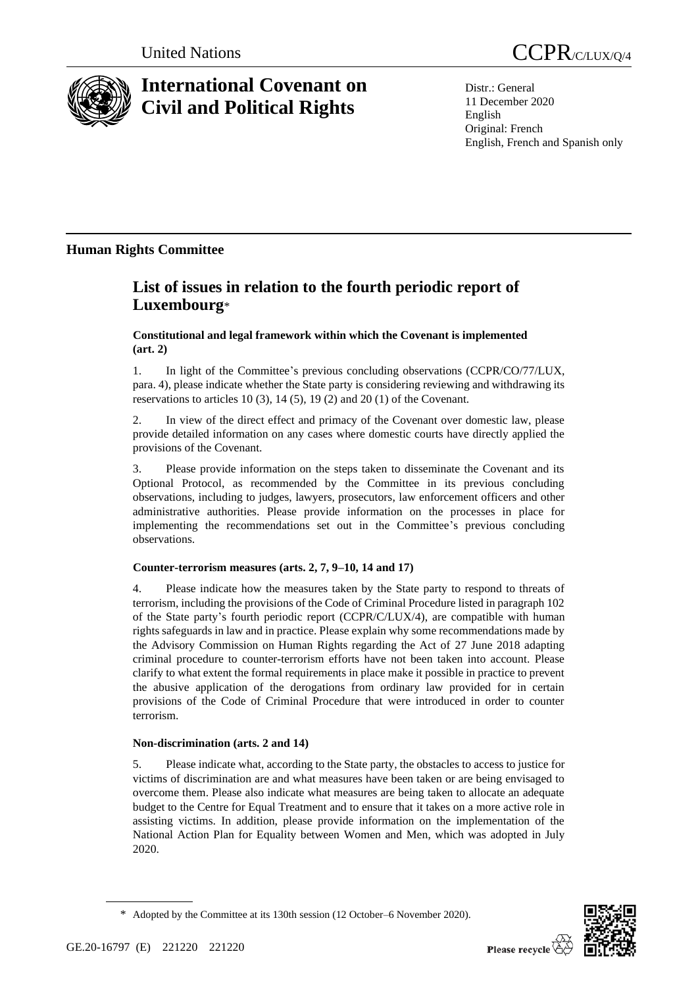

# **International Covenant on Civil and Political Rights**

Distr.: General 11 December 2020 English Original: French English, French and Spanish only

## **Human Rights Committee**

## **List of issues in relation to the fourth periodic report of Luxembourg**\*

**Constitutional and legal framework within which the Covenant is implemented (art. 2)**

1. In light of the Committee's previous concluding observations (CCPR/CO/77/LUX, para. 4), please indicate whether the State party is considering reviewing and withdrawing its reservations to articles 10 (3), 14 (5), 19 (2) and 20 (1) of the Covenant.

2. In view of the direct effect and primacy of the Covenant over domestic law, please provide detailed information on any cases where domestic courts have directly applied the provisions of the Covenant.

3. Please provide information on the steps taken to disseminate the Covenant and its Optional Protocol, as recommended by the Committee in its previous concluding observations, including to judges, lawyers, prosecutors, law enforcement officers and other administrative authorities. Please provide information on the processes in place for implementing the recommendations set out in the Committee's previous concluding observations.

### **Counter-terrorism measures (arts. 2, 7, 9–10, 14 and 17)**

4. Please indicate how the measures taken by the State party to respond to threats of terrorism, including the provisions of the Code of Criminal Procedure listed in paragraph 102 of the State party's fourth periodic report (CCPR/C/LUX/4), are compatible with human rights safeguards in law and in practice. Please explain why some recommendations made by the Advisory Commission on Human Rights regarding the Act of 27 June 2018 adapting criminal procedure to counter-terrorism efforts have not been taken into account. Please clarify to what extent the formal requirements in place make it possible in practice to prevent the abusive application of the derogations from ordinary law provided for in certain provisions of the Code of Criminal Procedure that were introduced in order to counter terrorism.

### **Non-discrimination (arts. 2 and 14)**

5. Please indicate what, according to the State party, the obstacles to access to justice for victims of discrimination are and what measures have been taken or are being envisaged to overcome them. Please also indicate what measures are being taken to allocate an adequate budget to the Centre for Equal Treatment and to ensure that it takes on a more active role in assisting victims. In addition, please provide information on the implementation of the National Action Plan for Equality between Women and Men, which was adopted in July 2020.



<sup>\*</sup> Adopted by the Committee at its 130th session (12 October–6 November 2020).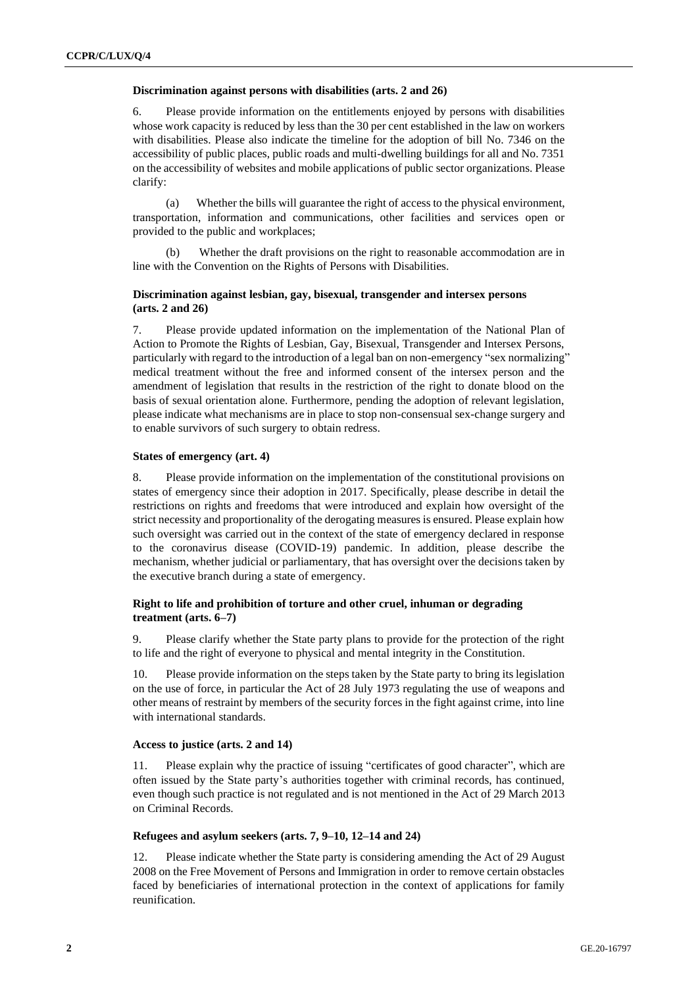#### **Discrimination against persons with disabilities (arts. 2 and 26)**

6. Please provide information on the entitlements enjoyed by persons with disabilities whose work capacity is reduced by less than the 30 per cent established in the law on workers with disabilities. Please also indicate the timeline for the adoption of bill No. 7346 on the accessibility of public places, public roads and multi-dwelling buildings for all and No. 7351 on the accessibility of websites and mobile applications of public sector organizations. Please clarify:

(a) Whether the bills will guarantee the right of access to the physical environment, transportation, information and communications, other facilities and services open or provided to the public and workplaces;

(b) Whether the draft provisions on the right to reasonable accommodation are in line with the Convention on the Rights of Persons with Disabilities.

#### **Discrimination against lesbian, gay, bisexual, transgender and intersex persons (arts. 2 and 26)**

7. Please provide updated information on the implementation of the National Plan of Action to Promote the Rights of Lesbian, Gay, Bisexual, Transgender and Intersex Persons, particularly with regard to the introduction of a legal ban on non-emergency "sex normalizing" medical treatment without the free and informed consent of the intersex person and the amendment of legislation that results in the restriction of the right to donate blood on the basis of sexual orientation alone. Furthermore, pending the adoption of relevant legislation, please indicate what mechanisms are in place to stop non-consensual sex-change surgery and to enable survivors of such surgery to obtain redress.

#### **States of emergency (art. 4)**

8. Please provide information on the implementation of the constitutional provisions on states of emergency since their adoption in 2017. Specifically, please describe in detail the restrictions on rights and freedoms that were introduced and explain how oversight of the strict necessity and proportionality of the derogating measures is ensured. Please explain how such oversight was carried out in the context of the state of emergency declared in response to the coronavirus disease (COVID-19) pandemic. In addition, please describe the mechanism, whether judicial or parliamentary, that has oversight over the decisions taken by the executive branch during a state of emergency.

#### **Right to life and prohibition of torture and other cruel, inhuman or degrading treatment (arts. 6–7)**

9. Please clarify whether the State party plans to provide for the protection of the right to life and the right of everyone to physical and mental integrity in the Constitution.

10. Please provide information on the steps taken by the State party to bring its legislation on the use of force, in particular the Act of 28 July 1973 regulating the use of weapons and other means of restraint by members of the security forces in the fight against crime, into line with international standards.

#### **Access to justice (arts. 2 and 14)**

11. Please explain why the practice of issuing "certificates of good character", which are often issued by the State party's authorities together with criminal records, has continued, even though such practice is not regulated and is not mentioned in the Act of 29 March 2013 on Criminal Records.

#### **Refugees and asylum seekers (arts. 7, 9–10, 12–14 and 24)**

12. Please indicate whether the State party is considering amending the Act of 29 August 2008 on the Free Movement of Persons and Immigration in order to remove certain obstacles faced by beneficiaries of international protection in the context of applications for family reunification.